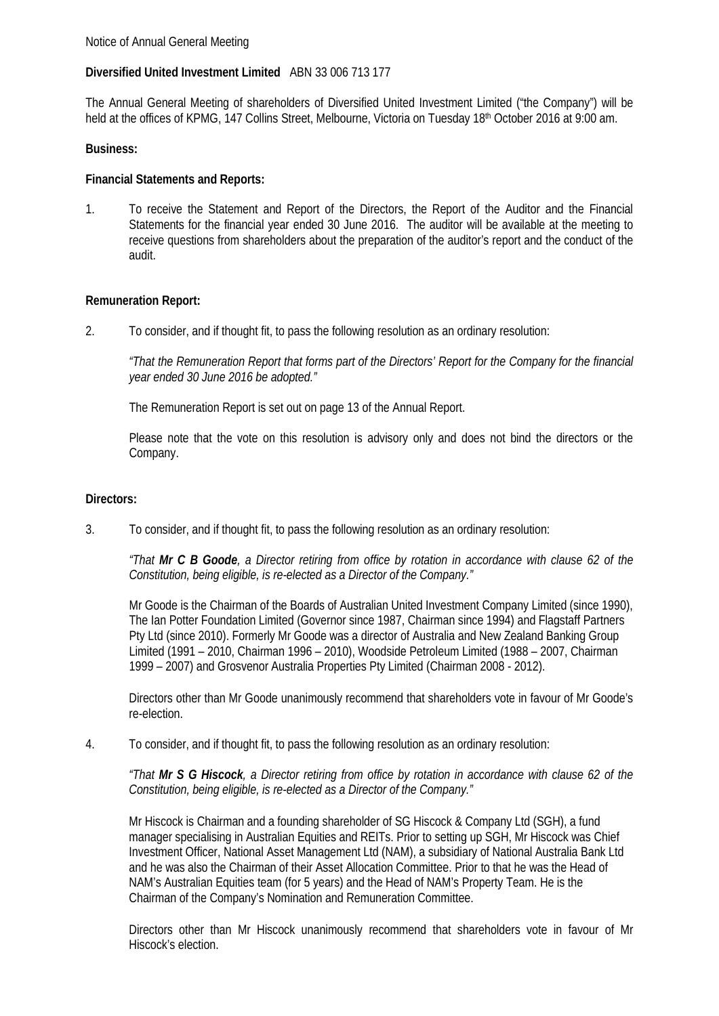# **Diversified United Investment Limited** ABN 33 006 713 177

The Annual General Meeting of shareholders of Diversified United Investment Limited ("the Company") will be held at the offices of KPMG, 147 Collins Street, Melbourne, Victoria on Tuesday 18th October 2016 at 9:00 am.

# **Business:**

# **Financial Statements and Reports:**

1. To receive the Statement and Report of the Directors, the Report of the Auditor and the Financial Statements for the financial year ended 30 June 2016. The auditor will be available at the meeting to receive questions from shareholders about the preparation of the auditor's report and the conduct of the audit.

# **Remuneration Report:**

2. To consider, and if thought fit, to pass the following resolution as an ordinary resolution:

*"That the Remuneration Report that forms part of the Directors' Report for the Company for the financial year ended 30 June 2016 be adopted."*

The Remuneration Report is set out on page 13 of the Annual Report.

Please note that the vote on this resolution is advisory only and does not bind the directors or the Company.

## **Directors:**

3. To consider, and if thought fit, to pass the following resolution as an ordinary resolution:

*"That Mr C B Goode, a Director retiring from office by rotation in accordance with clause 62 of the Constitution, being eligible, is re-elected as a Director of the Company."*

Mr Goode is the Chairman of the Boards of Australian United Investment Company Limited (since 1990), The Ian Potter Foundation Limited (Governor since 1987, Chairman since 1994) and Flagstaff Partners Pty Ltd (since 2010). Formerly Mr Goode was a director of Australia and New Zealand Banking Group Limited (1991 – 2010, Chairman 1996 – 2010), Woodside Petroleum Limited (1988 – 2007, Chairman 1999 – 2007) and Grosvenor Australia Properties Pty Limited (Chairman 2008 - 2012).

Directors other than Mr Goode unanimously recommend that shareholders vote in favour of Mr Goode's re-election.

4. To consider, and if thought fit, to pass the following resolution as an ordinary resolution:

*"That Mr S G Hiscock, a Director retiring from office by rotation in accordance with clause 62 of the Constitution, being eligible, is re-elected as a Director of the Company."*

Mr Hiscock is Chairman and a founding shareholder of SG Hiscock & Company Ltd (SGH), a fund manager specialising in Australian Equities and REITs. Prior to setting up SGH, Mr Hiscock was Chief Investment Officer, National Asset Management Ltd (NAM), a subsidiary of National Australia Bank Ltd and he was also the Chairman of their Asset Allocation Committee. Prior to that he was the Head of NAM's Australian Equities team (for 5 years) and the Head of NAM's Property Team. He is the Chairman of the Company's Nomination and Remuneration Committee.

Directors other than Mr Hiscock unanimously recommend that shareholders vote in favour of Mr Hiscock's election.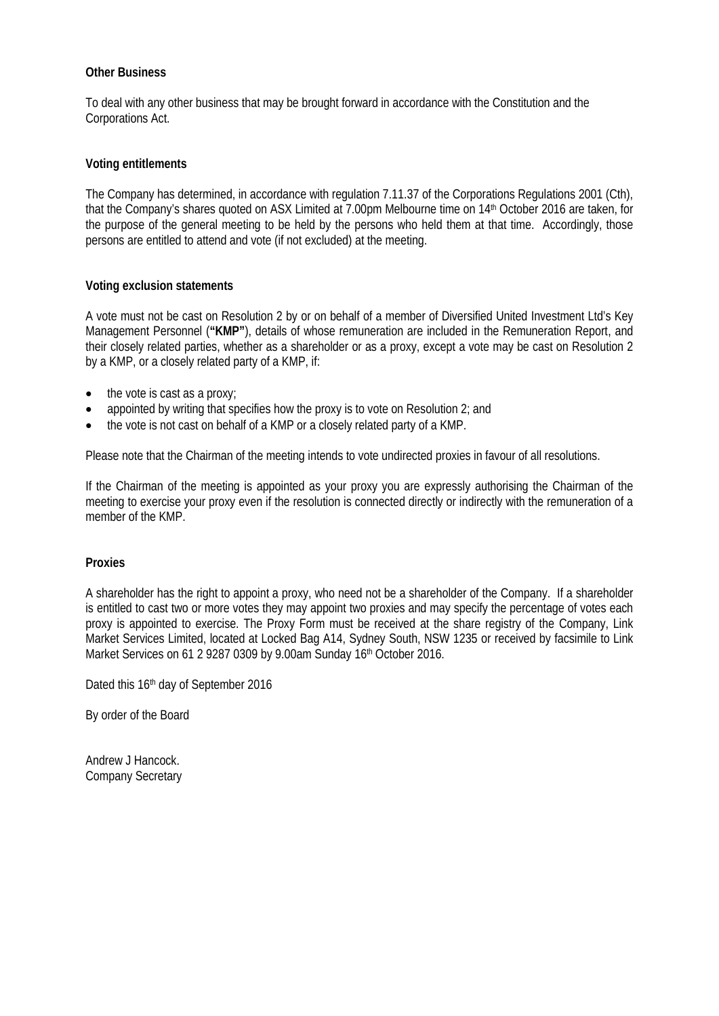# **Other Business**

To deal with any other business that may be brought forward in accordance with the Constitution and the Corporations Act.

# **Voting entitlements**

The Company has determined, in accordance with regulation 7.11.37 of the Corporations Regulations 2001 (Cth), that the Company's shares quoted on ASX Limited at 7.00pm Melbourne time on 14th October 2016 are taken, for the purpose of the general meeting to be held by the persons who held them at that time. Accordingly, those persons are entitled to attend and vote (if not excluded) at the meeting.

# **Voting exclusion statements**

A vote must not be cast on Resolution 2 by or on behalf of a member of Diversified United Investment Ltd's Key Management Personnel (**"KMP"**), details of whose remuneration are included in the Remuneration Report, and their closely related parties, whether as a shareholder or as a proxy, except a vote may be cast on Resolution 2 by a KMP, or a closely related party of a KMP, if:

- the vote is cast as a proxy;
- appointed by writing that specifies how the proxy is to vote on Resolution 2; and
- the vote is not cast on behalf of a KMP or a closely related party of a KMP.

Please note that the Chairman of the meeting intends to vote undirected proxies in favour of all resolutions.

If the Chairman of the meeting is appointed as your proxy you are expressly authorising the Chairman of the meeting to exercise your proxy even if the resolution is connected directly or indirectly with the remuneration of a member of the KMP.

## **Proxies**

A shareholder has the right to appoint a proxy, who need not be a shareholder of the Company. If a shareholder is entitled to cast two or more votes they may appoint two proxies and may specify the percentage of votes each proxy is appointed to exercise. The Proxy Form must be received at the share registry of the Company, Link Market Services Limited, located at Locked Bag A14, Sydney South, NSW 1235 or received by facsimile to Link Market Services on 61 2 9287 0309 by 9.00am Sunday 16th October 2016.

Dated this 16th day of September 2016

By order of the Board

Andrew J Hancock. Company Secretary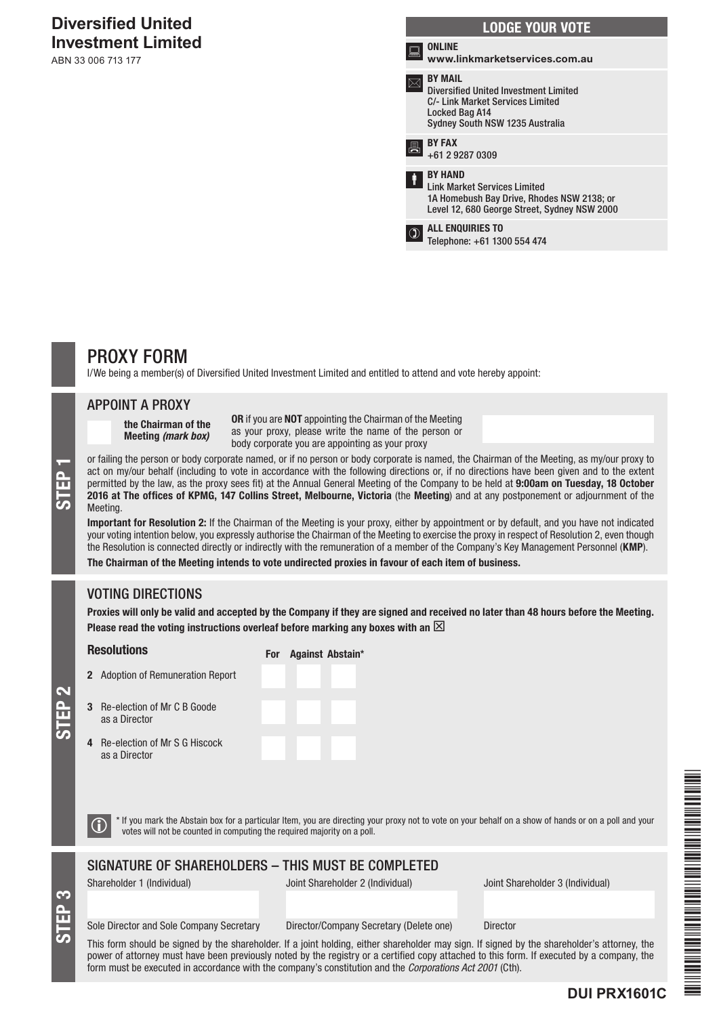# **Diversified United Investment Limited**

ABN 33 006 713 177

| <b>LODGE YOUR VOTE</b> |                                                                                                                                                         |  |  |  |  |
|------------------------|---------------------------------------------------------------------------------------------------------------------------------------------------------|--|--|--|--|
|                        | <b>ONLINE</b><br>www.linkmarketservices.com.au                                                                                                          |  |  |  |  |
|                        | <b>BY MAIL</b><br><b>Diversified United Investment Limited</b><br>C/- Link Market Services Limited<br>Locked Bag A14<br>Sydney South NSW 1235 Australia |  |  |  |  |
|                        | <b>BY FAX</b><br>+61 2 9287 0309                                                                                                                        |  |  |  |  |
|                        | <b>BY HAND</b><br><b>Link Market Services Limited</b><br>1A Homebush Bay Drive, Rhodes NSW 2138; or<br>Level 12, 680 George Street, Sydney NSW 2000     |  |  |  |  |
|                        | <b>ALL ENQUIRIES TO</b><br>Telephone: +61 1300 554 474                                                                                                  |  |  |  |  |
|                        |                                                                                                                                                         |  |  |  |  |

# PROXY FORM

I/We being a member(s) of Diversified United Investment Limited and entitled to attend and vote hereby appoint:

### APPOINT A PROXY

the Chairman of the Meeting *(mark box)*

OR if you are NOT appointing the Chairman of the Meeting as your proxy, please write the name of the person or body corporate you are appointing as your proxy

or failing the person or body corporate named, or if no person or body corporate is named, the Chairman of the Meeting, as my/our proxy to<br>act on my/our behalf (including to vote in accordance with the following directions act on my/our behalf (including to vote in accordance with the following directions or, if no directions have been given and to the extent permitted by the law, as the proxy sees fit) at the Annual General Meeting of the Company to be held at 9:00am on Tuesday, 18 October Meeting.

Important for Resolution 2: If the Chairman of the Meeting is your proxy, either by appointment or by default, and you have not indicated your voting intention below, you expressly authorise the Chairman of the Meeting to exercise the proxy in respect of Resolution 2, even though the Resolution is connected directly or indirectly with the remuneration of a member of the Company's Key Management Personnel (KMP).

The Chairman of the Meeting intends to vote undirected proxies in favour of each item of business.

# VOTING DIRECTIONS

Proxies will only be valid and accepted by the Company if they are signed and received no later than 48 hours before the Meeting. Please read the voting instructions overleaf before marking any boxes with an  $\boxtimes$ 

#### **Resolutions**

For Against Abstain\*

STEP 2

STEP 3

as a Director

|   | <b>2</b> Adoption of Remuneration Report     |  |  |
|---|----------------------------------------------|--|--|
| 3 | Re-election of Mr C B Goode<br>as a Director |  |  |

- 4 Re-election of Mr S G Hiscock
- $\bigcirc$  \* If you mark the Abstain box for a particular Item, you are directing your proxy not to vote on your behalf on a show of hands or on a poll and your votes will not be counted in computing the required majority on a

## SIGNATURE OF SHAREHOLDERS – THIS MUST BE COMPLETED

Shareholder 1 (Individual) Joint Shareholder 2 (Individual) Joint Shareholder 3 (Individual)

#### Sole Director and Sole Company Secretary Director/Company Secretary (Delete one) Director

This form should be signed by the shareholder. If a joint holding, either shareholder may sign. If signed by the shareholder's attorney, the power of attorney must have been previously noted by the registry or a certified copy attached to this form. If executed by a company, the form must be executed in accordance with the company's constitution and the *Corporations Act 2001* (Cth).



# **DUI PRX1601C**